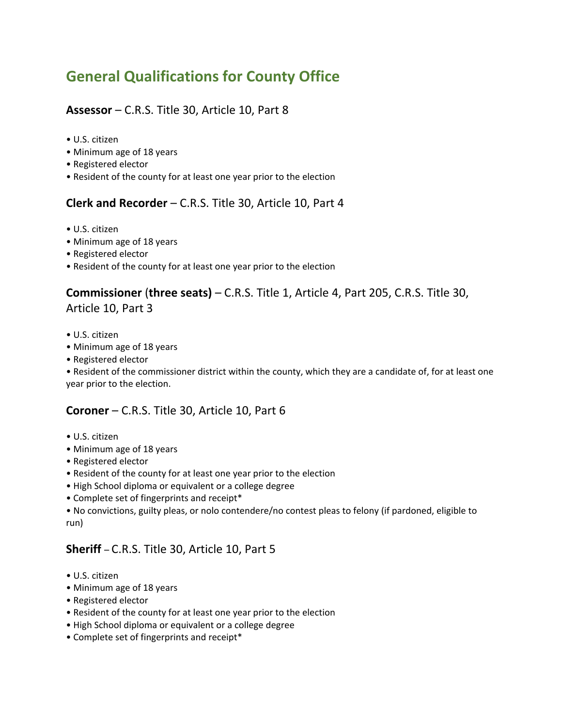# **General Qualifications for County Office**

#### **Assessor** – C.R.S. Title 30, Article 10, Part 8

- $\bullet$  U.S. citizen
- Minimum age of 18 years
- Registered elector
- Resident of the county for at least one year prior to the election

#### **Clerk and Recorder** – C.R.S. Title 30, Article 10, Part 4

- $\bullet$  U.S. citizen
- Minimum age of 18 years
- Registered elector
- Resident of the county for at least one year prior to the election

#### **Commissioner** (**three seats)** – C.R.S. Title 1, Article 4, Part 205, C.R.S. Title 30, Article 10, Part 3

- $\bullet$  U.S. citizen
- Minimum age of 18 years
- Registered elector

• Resident of the commissioner district within the county, which they are a candidate of, for at least one year prior to the election.

#### **Coroner** – C.R.S. Title 30, Article 10, Part 6

- $\bullet$  U.S. citizen
- Minimum age of 18 years
- Registered elector
- Resident of the county for at least one year prior to the election
- High School diploma or equivalent or a college degree
- Complete set of fingerprints and receipt\*

ï No convictions, guilty pleas, or nolo contendere/no contest pleas to felony (if pardoned, eligible to run)

## **Sheriff** – C.R.S. Title 30, Article 10, Part 5

- $\bullet$  U.S. citizen
- Minimum age of 18 years
- Registered elector
- Resident of the county for at least one year prior to the election
- High School diploma or equivalent or a college degree
- Complete set of fingerprints and receipt\*